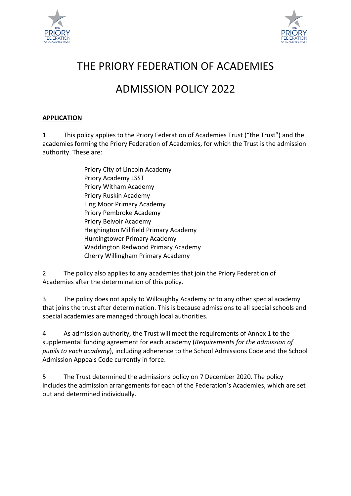



# THE PRIORY FEDERATION OF ACADEMIES

# ADMISSION POLICY 2022

# **APPLICATION**

1 This policy applies to the Priory Federation of Academies Trust ("the Trust") and the academies forming the Priory Federation of Academies, for which the Trust is the admission authority. These are:

| Priory City of Lincoln Academy            |
|-------------------------------------------|
| <b>Priory Academy LSST</b>                |
| Priory Witham Academy                     |
| Priory Ruskin Academy                     |
| Ling Moor Primary Academy                 |
| Priory Pembroke Academy                   |
| Priory Belvoir Academy                    |
| Heighington Millfield Primary Academy     |
| <b>Huntingtower Primary Academy</b>       |
| <b>Waddington Redwood Primary Academy</b> |
| Cherry Willingham Primary Academy         |

2 The policy also applies to any academies that join the Priory Federation of Academies after the determination of this policy.

3 The policy does not apply to Willoughby Academy or to any other special academy that joins the trust after determination. This is because admissions to all special schools and special academies are managed through local authorities.

4 As admission authority, the Trust will meet the requirements of Annex 1 to the supplemental funding agreement for each academy (*Requirements for the admission of pupils to each academy*), including adherence to the School Admissions Code and the School Admission Appeals Code currently in force.

5 The Trust determined the admissions policy on 7 December 2020. The policy includes the admission arrangements for each of the Federation's Academies, which are set out and determined individually.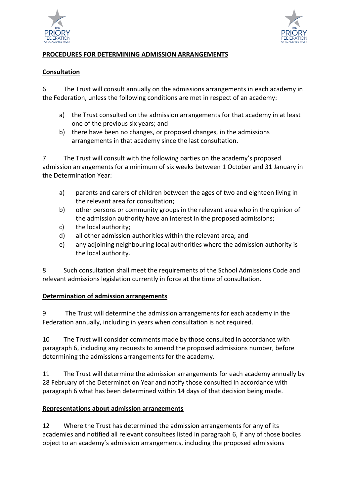



## **PROCEDURES FOR DETERMINING ADMISSION ARRANGEMENTS**

#### **Consultation**

6 The Trust will consult annually on the admissions arrangements in each academy in the Federation, unless the following conditions are met in respect of an academy:

- a) the Trust consulted on the admission arrangements for that academy in at least one of the previous six years; and
- b) there have been no changes, or proposed changes, in the admissions arrangements in that academy since the last consultation.

7 The Trust will consult with the following parties on the academy's proposed admission arrangements for a minimum of six weeks between 1 October and 31 January in the Determination Year:

- a) parents and carers of children between the ages of two and eighteen living in the relevant area for consultation;
- b) other persons or community groups in the relevant area who in the opinion of the admission authority have an interest in the proposed admissions;
- c) the local authority;
- d) all other admission authorities within the relevant area; and
- e) any adjoining neighbouring local authorities where the admission authority is the local authority.

8 Such consultation shall meet the requirements of the School Admissions Code and relevant admissions legislation currently in force at the time of consultation.

## **Determination of admission arrangements**

9 The Trust will determine the admission arrangements for each academy in the Federation annually, including in years when consultation is not required.

10 The Trust will consider comments made by those consulted in accordance with paragraph 6, including any requests to amend the proposed admissions number, before determining the admissions arrangements for the academy.

11 The Trust will determine the admission arrangements for each academy annually by 28 February of the Determination Year and notify those consulted in accordance with paragraph 6 what has been determined within 14 days of that decision being made.

## **Representations about admission arrangements**

12 Where the Trust has determined the admission arrangements for any of its academies and notified all relevant consultees listed in paragraph 6, if any of those bodies object to an academy's admission arrangements, including the proposed admissions